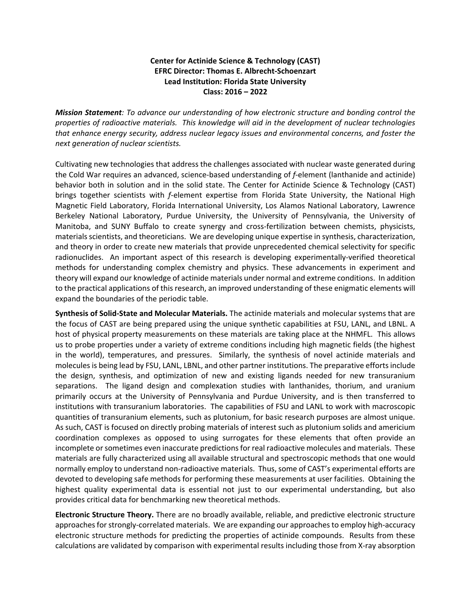## **Center for Actinide Science & Technology (CAST) EFRC Director: Thomas E. Albrecht-Schoenzart Lead Institution: Florida State University Class: 2016 – 2022**

*Mission Statement: To advance our understanding of how electronic structure and bonding control the properties of radioactive materials. This knowledge will aid in the development of nuclear technologies that enhance energy security, address nuclear legacy issues and environmental concerns, and foster the next generation of nuclear scientists.*

Cultivating new technologies that address the challenges associated with nuclear waste generated during the Cold War requires an advanced, science-based understanding of *f*-element (lanthanide and actinide) behavior both in solution and in the solid state. The Center for Actinide Science & Technology (CAST) brings together scientists with *f*-element expertise from Florida State University, the National High Magnetic Field Laboratory, Florida International University, Los Alamos National Laboratory, Lawrence Berkeley National Laboratory, Purdue University, the University of Pennsylvania, the University of Manitoba, and SUNY Buffalo to create synergy and cross-fertilization between chemists, physicists, materials scientists, and theoreticians. We are developing unique expertise in synthesis, characterization, and theory in order to create new materials that provide unprecedented chemical selectivity for specific radionuclides. An important aspect of this research is developing experimentally-verified theoretical methods for understanding complex chemistry and physics. These advancements in experiment and theory will expand our knowledge of actinide materials under normal and extreme conditions. In addition to the practical applications of this research, an improved understanding of these enigmatic elements will expand the boundaries of the periodic table.

**Synthesis of Solid-State and Molecular Materials.** The actinide materials and molecular systems that are the focus of CAST are being prepared using the unique synthetic capabilities at FSU, LANL, and LBNL. A host of physical property measurements on these materials are taking place at the NHMFL. This allows us to probe properties under a variety of extreme conditions including high magnetic fields (the highest in the world), temperatures, and pressures. Similarly, the synthesis of novel actinide materials and moleculesis being lead by FSU, LANL, LBNL, and other partner institutions. The preparative efforts include the design, synthesis, and optimization of new and existing ligands needed for new transuranium separations. The ligand design and complexation studies with lanthanides, thorium, and uranium primarily occurs at the University of Pennsylvania and Purdue University, and is then transferred to institutions with transuranium laboratories. The capabilities of FSU and LANL to work with macroscopic quantities of transuranium elements, such as plutonium, for basic research purposes are almost unique. As such, CAST is focused on directly probing materials of interest such as plutonium solids and americium coordination complexes as opposed to using surrogates for these elements that often provide an incomplete or sometimes even inaccurate predictions for real radioactive molecules and materials. These materials are fully characterized using all available structural and spectroscopic methods that one would normally employ to understand non-radioactive materials. Thus, some of CAST's experimental efforts are devoted to developing safe methods for performing these measurements at user facilities. Obtaining the highest quality experimental data is essential not just to our experimental understanding, but also provides critical data for benchmarking new theoretical methods.

**Electronic Structure Theory.** There are no broadly available, reliable, and predictive electronic structure approaches for strongly-correlated materials. We are expanding our approaches to employ high-accuracy electronic structure methods for predicting the properties of actinide compounds. Results from these calculations are validated by comparison with experimental results including those from X-ray absorption